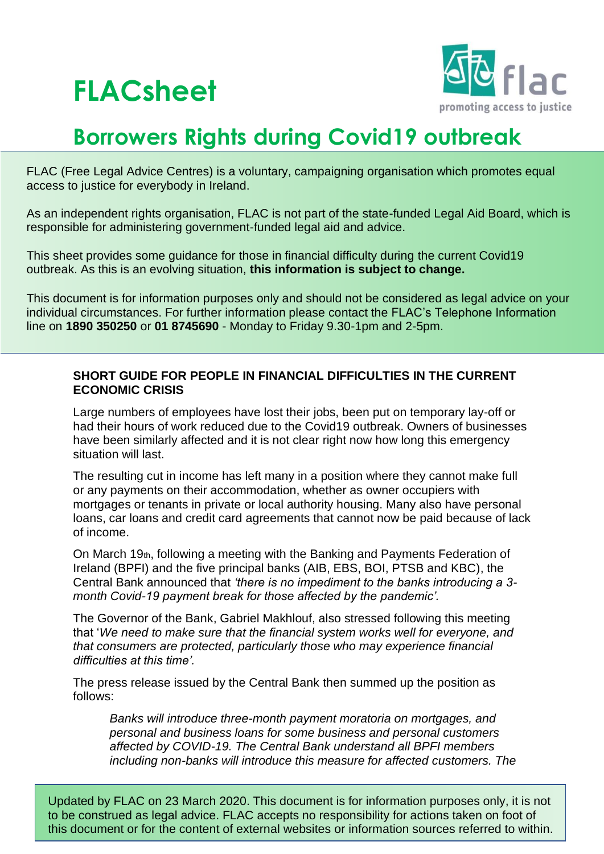# **FLACsheet**



## **Borrowers Rights during Covid19 outbreak**

FLAC (Free Legal Advice Centres) is a voluntary, campaigning organisation which promotes equal access to justice for everybody in Ireland.

As an independent rights organisation, FLAC is not part of the state-funded Legal Aid Board, which is responsible for administering government-funded legal aid and advice.

This sheet provides some guidance for those in financial difficulty during the current Covid19 outbreak. As this is an evolving situation, **this information is subject to change.**

This document is for information purposes only and should not be considered as legal advice on your individual circumstances. For further information please contact the FLAC's Telephone Information line on **1890 350250** or **01 8745690** - Monday to Friday 9.30-1pm and 2-5pm.

#### **SHORT GUIDE FOR PEOPLE IN FINANCIAL DIFFICULTIES IN THE CURRENT ECONOMIC CRISIS**

Large numbers of employees have lost their jobs, been put on temporary lay-off or had their hours of work reduced due to the Covid19 outbreak. Owners of businesses have been similarly affected and it is not clear right now how long this emergency situation will last.

The resulting cut in income has left many in a position where they cannot make full or any payments on their accommodation, whether as owner occupiers with mortgages or tenants in private or local authority housing. Many also have personal loans, car loans and credit card agreements that cannot now be paid because of lack of income.

On March 19th, following a meeting with the Banking and Payments Federation of Ireland (BPFI) and the five principal banks (AIB, EBS, BOI, PTSB and KBC), the Central Bank announced that *'there is no impediment to the banks introducing a 3 month Covid-19 payment break for those affected by the pandemic'.*

The Governor of the Bank, Gabriel Makhlouf, also stressed following this meeting that '*We need to make sure that the financial system works well for everyone, and that consumers are protected, particularly those who may experience financial difficulties at this time'.*

The press release issued by the Central Bank then summed up the position as follows:

*Banks will introduce three-month payment moratoria on mortgages, and personal and business loans for some business and personal customers affected by COVID-19. The Central Bank understand all BPFI members including non-banks will introduce this measure for affected customers. The* 

Updated by FLAC on 23 March 2020. This document is for information purposes only, it is not to be construed as legal advice. FLAC accepts no responsibility for actions taken on foot of this document or for the content of external websites or information sources referred to within.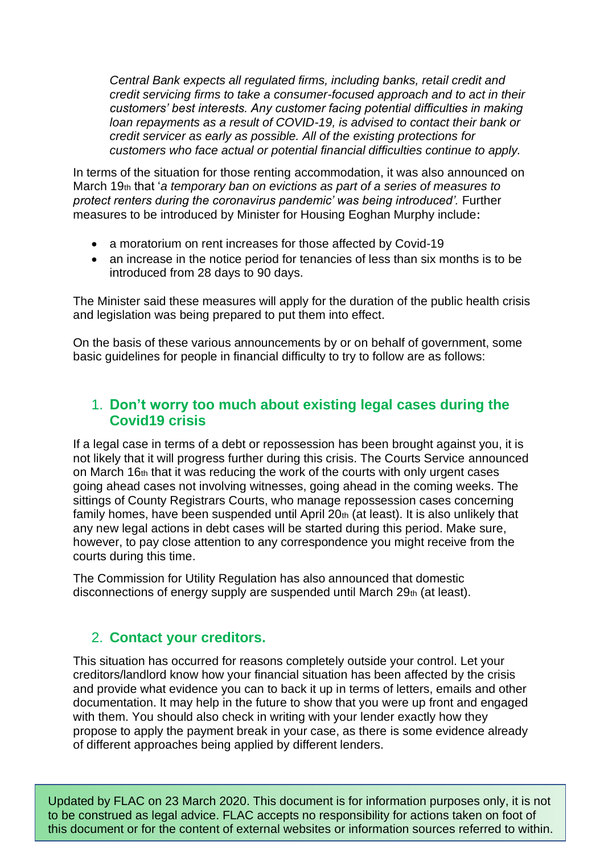*Central Bank expects all regulated firms, including banks, retail credit and credit servicing firms to take a consumer-focused approach and to act in their customers' best interests. Any customer facing potential difficulties in making loan repayments as a result of COVID-19, is advised to contact their bank or credit servicer as early as possible. All of the [existing protections](https://www.centralbank.ie/regulation/consumer-protection/consumer-protection-codes-regulations) for customers who face actual or potential financial difficulties continue to apply.*

In terms of the situation for those renting accommodation, it was also announced on March 19th that '*a temporary ban on evictions as part of a series of measures to protect renters during the coronavirus pandemic' was being introduced'.* Further measures to be introduced by Minister for Housing Eoghan Murphy include:

- a moratorium on rent increases for those affected by Covid-19
- an increase in the notice period for tenancies of less than six months is to be introduced from 28 days to 90 days.

The Minister said these measures will apply for the duration of the public health crisis and legislation was being prepared to put them into effect.

On the basis of these various announcements by or on behalf of government, some basic guidelines for people in financial difficulty to try to follow are as follows:

#### 1. **Don't worry too much about existing legal cases during the Covid19 crisis**

If a legal case in terms of a debt or repossession has been brought against you, it is not likely that it will progress further during this crisis. The Courts Service announced on March 16th that it was reducing the work of the courts with only urgent cases going ahead cases not involving witnesses, going ahead in the coming weeks. The sittings of County Registrars Courts, who manage repossession cases concerning family homes, have been suspended until April  $20<sub>th</sub>$  (at least). It is also unlikely that any new legal actions in debt cases will be started during this period. Make sure, however, to pay close attention to any correspondence you might receive from the courts during this time.

The Commission for Utility Regulation has also announced that domestic disconnections of energy supply are suspended until March 29th (at least).

### 2. **Contact your creditors.**

This situation has occurred for reasons completely outside your control. Let your creditors/landlord know how your financial situation has been affected by the crisis and provide what evidence you can to back it up in terms of letters, emails and other documentation. It may help in the future to show that you were up front and engaged with them. You should also check in writing with your lender exactly how they propose to apply the payment break in your case, as there is some evidence already of different approaches being applied by different lenders.

Updated by FLAC on 23 March 2020. This document is for information purposes only, it is not to be construed as legal advice. FLAC accepts no responsibility for actions taken on foot of this document or for the content of external websites or information sources referred to within.